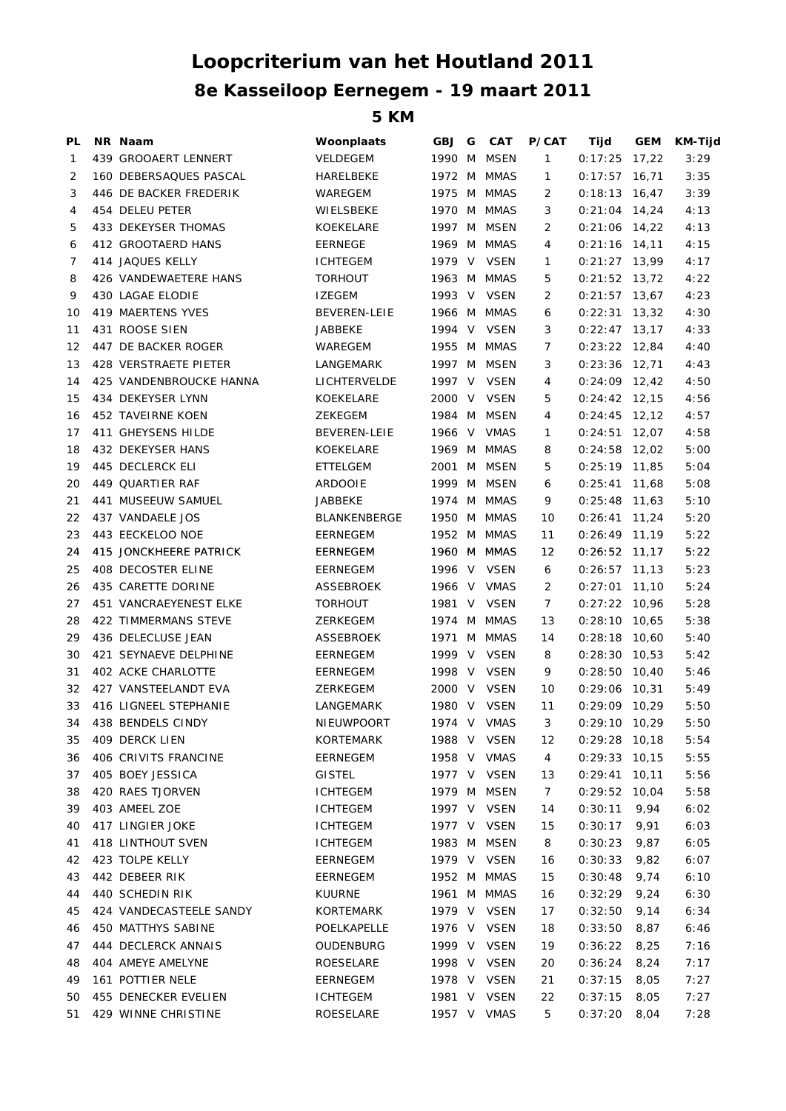## **8e Kasseiloop Eernegem - 19 maart 2011 Loopcriterium van het Houtland 2011**

**5 KM**

| PL | NR Naam                   | Woonplaats          | GBJ G  | <b>CAT</b>  | P/CAT          | Tijd            | GEM   | <b>KM-Tijd</b> |
|----|---------------------------|---------------------|--------|-------------|----------------|-----------------|-------|----------------|
| 1  | 439 GROOAERT LENNERT      | <b>VELDEGEM</b>     | 1990 M | <b>MSEN</b> | 1              | 0:17:25         | 17,22 | 3:29           |
| 2  | 160 DEBERSAQUES PASCAL    | HARELBEKE           |        | 1972 M MMAS | 1              | $0:17:57$ 16,71 |       | 3:35           |
| 3  | 446 DE BACKER FREDERIK    | WAREGEM             |        | 1975 M MMAS | 2              | $0:18:13$ 16,47 |       | 3:39           |
| 4  | 454 DELEU PETER           | WIELSBEKE           |        | 1970 M MMAS | 3              | $0:21:04$ 14,24 |       | 4:13           |
| 5  | 433 DEKEYSER THOMAS       | KOEKELARE           |        | 1997 M MSEN | 2              | $0:21:06$ 14,22 |       | 4:13           |
| 6  | 412 GROOTAERD HANS        | <b>EERNEGE</b>      |        | 1969 M MMAS | 4              | $0:21:16$ 14,11 |       | 4:15           |
| 7  | 414 JAQUES KELLY          | <b>ICHTEGEM</b>     |        | 1979 V VSEN | 1              | $0:21:27$ 13,99 |       | 4:17           |
| 8  | 426 VANDEWAETERE HANS     | <b>TORHOUT</b>      | 1963 M | MMAS        | 5              | $0:21:52$ 13,72 |       | 4:22           |
| 9  | <b>430 LAGAE ELODIE</b>   | <b>IZEGEM</b>       |        | 1993 V VSEN | 2              | $0:21:57$ 13,67 |       | 4:23           |
| 10 | 419 MAERTENS YVES         | <b>BEVEREN-LEIE</b> |        | 1966 M MMAS | 6              | $0:22:31$ 13,32 |       | 4:30           |
| 11 | 431 ROOSE SIEN            | JABBEKE             |        | 1994 V VSEN | 3              | $0:22:47$ 13,17 |       | 4:33           |
| 12 | 447 DE BACKER ROGER       | WAREGEM             |        | 1955 M MMAS | 7              | $0:23:22$ 12,84 |       | 4:40           |
| 13 | 428 VERSTRAETE PIETER     | LANGEMARK           |        | 1997 M MSEN | 3              | $0:23:36$ 12,71 |       | 4:43           |
| 14 | 425 VANDENBROUCKE HANNA   | LICHTERVELDE        | 1997 V | VSEN        | 4              | $0:24:09$ 12,42 |       | 4:50           |
| 15 | 434 DEKEYSER LYNN         | KOEKELARE           |        | 2000 V VSEN | 5              | $0:24:42$ 12,15 |       | 4:56           |
| 16 | 452 TAVEIRNE KOEN         | <b>ZEKEGEM</b>      |        | 1984 M MSEN | 4              | $0:24:45$ 12,12 |       | 4:57           |
| 17 | <b>411 GHEYSENS HILDE</b> | <b>BEVEREN-LEIE</b> |        | 1966 V VMAS | 1              | $0:24:51$ 12,07 |       | 4:58           |
| 18 | 432 DEKEYSER HANS         | KOEKELARE           |        | 1969 M MMAS | 8              | $0:24:58$ 12,02 |       | 5:00           |
| 19 | 445 DECLERCK ELI          | ETTELGEM            |        | 2001 M MSEN | 5              | $0:25:19$ 11,85 |       | 5:04           |
| 20 | 449 QUARTIER RAF          | <b>ARDOOIE</b>      |        | 1999 M MSEN | 6              | $0:25:41$ 11,68 |       | 5:08           |
| 21 | 441 MUSEEUW SAMUEL        | JABBEKE             | 1974 M | MMAS        | 9              | $0:25:48$ 11,63 |       | 5:10           |
| 22 | 437 VANDAELE JOS          | <b>BLANKENBERGE</b> |        | 1950 M MMAS | 10             | $0:26:41$ 11,24 |       | 5:20           |
| 23 | 443 EECKELOO NOE          | <b>EERNEGEM</b>     |        | 1952 M MMAS | 11             | $0:26:49$ 11,19 |       | 5:22           |
| 24 | 415 JONCKHEERE PATRICK    | <b>EERNEGEM</b>     |        | 1960 M MMAS | 12             | $0:26:52$ 11,17 |       | 5:22           |
| 25 | 408 DECOSTER ELINE        | EERNEGEM            |        | 1996 V VSEN | 6              | $0:26:57$ 11,13 |       | 5:23           |
| 26 | 435 CARETTE DORINE        | <b>ASSEBROEK</b>    |        | 1966 V VMAS | $\overline{2}$ | $0:27:01$ 11,10 |       | 5:24           |
| 27 | 451 VANCRAEYENEST ELKE    | <b>TORHOUT</b>      |        | 1981 V VSEN | $\overline{7}$ | $0:27:22$ 10,96 |       | 5:28           |
| 28 | 422 TIMMERMANS STEVE      | ZERKEGEM            |        | 1974 M MMAS | 13             | $0:28:10$ 10,65 |       | 5:38           |
| 29 | 436 DELECLUSE JEAN        | <b>ASSEBROEK</b>    |        | 1971 M MMAS | 14             | $0:28:18$ 10,60 |       | 5:40           |
| 30 | 421 SEYNAEVE DELPHINE     | <b>EERNEGEM</b>     | 1999 V | VSEN        | 8              | $0:28:30$ 10,53 |       | 5:42           |
| 31 | 402 ACKE CHARLOTTE        | EERNEGEM            |        | 1998 V VSEN | 9              | $0:28:50$ 10,40 |       | 5:46           |
| 32 | 427 VANSTEELANDT EVA      | ZERKEGEM            |        | 2000 V VSEN | 10             | $0:29:06$ 10,31 |       | 5:49           |
| 33 | 416 LIGNEEL STEPHANIE     | LANGEMARK           |        | 1980 V VSEN | 11             | $0:29:09$ 10,29 |       | 5:50           |
| 34 | 438 BENDELS CINDY         | NIEUWPOORT          |        | 1974 V VMAS | 3              | $0:29:10$ 10,29 |       | 5:50           |
| 35 | 409 DERCK LIEN            | KORTEMARK           |        | 1988 V VSEN | 12             | $0:29:28$ 10,18 |       | 5:54           |
| 36 | 406 CRIVITS FRANCINE      | <b>EERNEGEM</b>     |        | 1958 V VMAS | 4              | $0:29:33$ 10,15 |       | 5:55           |
| 37 | 405 BOEY JESSICA          | <b>GISTEL</b>       |        | 1977 V VSEN | 13             | $0:29:41$ 10,11 |       | 5:56           |
| 38 | 420 RAES TJORVEN          | <b>ICHTEGEM</b>     |        | 1979 M MSEN | 7              | $0:29:52$ 10,04 |       | 5:58           |
| 39 | 403 AMEEL ZOE             | <b>ICHTEGEM</b>     |        | 1997 V VSEN | 14             | 0:30:11         | 9,94  | 6:02           |
| 40 | 417 LINGIER JOKE          | <b>ICHTEGEM</b>     |        | 1977 V VSEN | 15             | 0:30:17         | 9,91  | 6:03           |
| 41 | 418 LINTHOUT SVEN         | <b>ICHTEGEM</b>     |        | 1983 M MSEN | 8              | 0:30:23         | 9,87  | 6:05           |
| 42 | 423 TOLPE KELLY           | EERNEGEM            |        | 1979 V VSEN | 16             | 0:30:33         | 9,82  | 6:07           |
| 43 | 442 DEBEER RIK            | EERNEGEM            |        | 1952 M MMAS | 15             | 0:30:48         | 9,74  | 6:10           |
| 44 | 440 SCHEDIN RIK           | <b>KUURNE</b>       |        | 1961 M MMAS | 16             | 0:32:29         | 9,24  | 6:30           |
| 45 | 424 VANDECASTEELE SANDY   | KORTEMARK           |        | 1979 V VSEN | 17             | 0:32:50         | 9,14  | 6:34           |
| 46 | 450 MATTHYS SABINE        | POELKAPELLE         |        | 1976 V VSEN | 18             | 0:33:50         | 8,87  | 6:46           |
| 47 | 444 DECLERCK ANNAIS       | OUDENBURG           |        | 1999 V VSEN | 19             | 0:36:22         | 8,25  | 7:16           |
| 48 | 404 AMEYE AMELYNE         | ROESELARE           |        | 1998 V VSEN | 20             | 0:36:24         | 8,24  | 7:17           |
| 49 | 161 POTTIER NELE          | EERNEGEM            |        | 1978 V VSEN | 21             | 0:37:15         | 8,05  | 7:27           |
| 50 | 455 DENECKER EVELIEN      | <b>ICHTEGEM</b>     |        | 1981 V VSEN | 22             | 0:37:15         | 8,05  | 7:27           |
| 51 | 429 WINNE CHRISTINE       | ROESELARE           |        | 1957 V VMAS | 5              | 0:37:20         | 8,04  | 7:28           |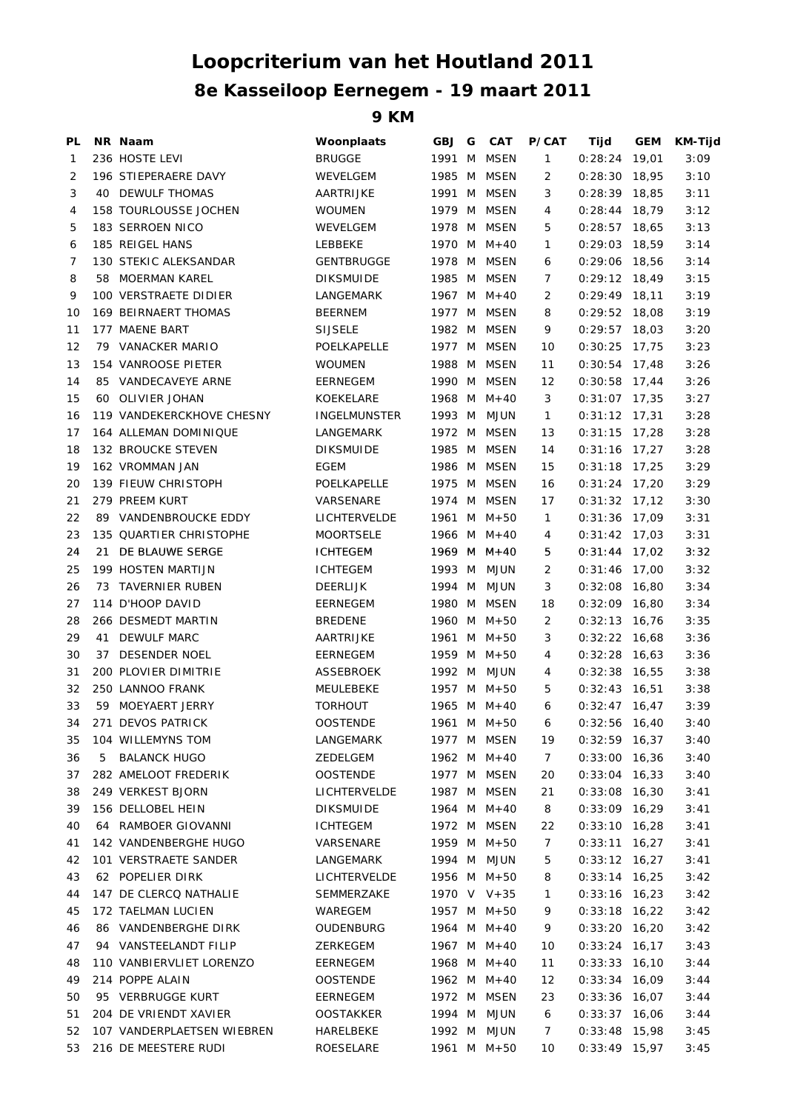## **Loopcriterium van het Houtland 2011 8e Kasseiloop Eernegem - 19 maart 2011**

**9 KM**

| PL           |    | NR Naam                      | Woonplaats          | GBJ    | G | <b>CAT</b>  | P/CAT             | Tijd            | GEM   | <b>KM-Tijd</b> |
|--------------|----|------------------------------|---------------------|--------|---|-------------|-------------------|-----------------|-------|----------------|
| $\mathbf{1}$ |    | 236 HOSTE LEVI               | <b>BRUGGE</b>       | 1991 M |   | MSEN        | $\mathbf{1}$      | 0:28:24         | 19,01 | 3:09           |
| 2            |    | 196 STIEPERAERE DAVY         | WEVELGEM            | 1985 M |   | <b>MSEN</b> | 2                 | $0:28:30$ 18,95 |       | 3:10           |
| 3            |    | 40 DEWULF THOMAS             | AARTRIJKE           | 1991 M |   | MSEN        | 3                 | $0:28:39$ 18,85 |       | 3:11           |
| 4            |    | <b>158 TOURLOUSSE JOCHEN</b> | <b>WOUMEN</b>       | 1979 M |   | MSEN        | 4                 | $0:28:44$ 18,79 |       | 3:12           |
| 5            |    | 183 SERROEN NICO             | WEVELGEM            | 1978 M |   | <b>MSEN</b> | 5                 | $0:28:57$ 18,65 |       | 3:13           |
| 6            |    | 185 REIGEL HANS              | LEBBEKE             | 1970 M |   | $M+40$      | 1                 | $0:29:03$ 18,59 |       | 3:14           |
| 7            |    | 130 STEKIC ALEKSANDAR        | <b>GENTBRUGGE</b>   | 1978 M |   | MSEN        | 6                 | $0:29:06$ 18,56 |       | 3:14           |
| 8            |    | 58 MOERMAN KAREL             | <b>DIKSMUIDE</b>    | 1985 M |   | <b>MSEN</b> | 7                 | $0:29:12$ 18,49 |       | 3:15           |
| 9            |    | 100 VERSTRAETE DIDIER        | LANGEMARK           | 1967 M |   | $M + 40$    | 2                 | $0:29:49$ 18,11 |       | 3:19           |
| 10           |    | 169 BEIRNAERT THOMAS         | <b>BEERNEM</b>      | 1977 M |   | MSEN        | 8                 | $0:29:52$ 18,08 |       | 3:19           |
| 11           |    | 177 MAENE BART               | <b>SIJSELE</b>      |        |   | 1982 M MSEN | 9                 | $0:29:57$ 18,03 |       | 3:20           |
| 12           |    | 79 VANACKER MARIO            | POELKAPELLE         | 1977 M |   | MSEN        | 10                | $0:30:25$ 17,75 |       | 3:23           |
| 13           |    | 154 VANROOSE PIETER          | <b>WOUMEN</b>       | 1988 M |   | MSEN        | 11                | $0:30:54$ 17,48 |       | 3:26           |
| 14           |    | 85 VANDECAVEYE ARNE          | EERNEGEM            | 1990 M |   | MSEN        | $12 \overline{ }$ | $0:30:58$ 17,44 |       | 3:26           |
| 15           |    | 60 OLIVIER JOHAN             | KOEKELARE           | 1968 M |   | $M+40$      | 3                 | $0:31:07$ 17,35 |       | 3:27           |
| 16           |    | 119 VANDEKERCKHOVE CHESNY    | <b>INGELMUNSTER</b> |        |   | 1993 M MJUN | $\mathbf{1}$      | $0:31:12$ 17,31 |       | 3:28           |
| 17           |    | 164 ALLEMAN DOMINIQUE        | LANGEMARK           | 1972 M |   | MSEN        | 13                | $0:31:15$ 17,28 |       | 3:28           |
| 18           |    | <b>132 BROUCKE STEVEN</b>    | <b>DIKSMUIDE</b>    | 1985 M |   | MSEN        | 14                | $0:31:16$ 17,27 |       | 3:28           |
| 19           |    | 162 VROMMAN JAN              | EGEM                | 1986 M |   | MSEN        | 15                | $0:31:18$ 17,25 |       | 3:29           |
| 20           |    | 139 FIEUW CHRISTOPH          | POELKAPELLE         | 1975 M |   | MSEN        | 16                | $0:31:24$ 17,20 |       | 3:29           |
| 21           |    | 279 PREEM KURT               | VARSENARE           | 1974 M |   | MSEN        | 17                | $0:31:32$ 17,12 |       | 3:30           |
| 22           |    | 89 VANDENBROUCKE EDDY        | LICHTERVELDE        |        |   | 1961 M M+50 | $\mathbf{1}$      | $0:31:36$ 17,09 |       | 3:31           |
| 23           |    | 135 QUARTIER CHRISTOPHE      | <b>MOORTSELE</b>    |        |   | 1966 M M+40 | 4                 | $0:31:42$ 17,03 |       | 3:31           |
| 24           | 21 | DE BLAUWE SERGE              | <b>ICHTEGEM</b>     |        |   | 1969 M M+40 | 5                 | $0:31:44$ 17,02 |       | 3:32           |
| 25           |    | 199 HOSTEN MARTIJN           | <b>ICHTEGEM</b>     | 1993 M |   | MJUN        | 2                 | $0:31:46$ 17,00 |       | 3:32           |
| 26           |    | 73 TAVERNIER RUBEN           | <b>DEERLIJK</b>     | 1994 M |   | MJUN        | 3                 | $0:32:08$ 16,80 |       | 3:34           |
| 27           |    | 114 D'HOOP DAVID             | EERNEGEM            | 1980 M |   | MSEN        | 18                | $0:32:09$ 16,80 |       | 3:34           |
| 28           |    | 266 DESMEDT MARTIN           | <b>BREDENE</b>      | 1960 M |   | $M + 50$    | 2                 | $0:32:13$ 16,76 |       | 3:35           |
| 29           | 41 | <b>DEWULF MARC</b>           | AARTRIJKE           |        |   | 1961 M M+50 | 3                 | $0:32:22$ 16,68 |       | 3:36           |
| 30           | 37 | DESENDER NOEL                | EERNEGEM            |        |   | 1959 M M+50 | 4                 | $0:32:28$ 16,63 |       | 3:36           |
| 31           |    | 200 PLOVIER DIMITRIE         | ASSEBROEK           | 1992 M |   | MJUN        | 4                 | $0:32:38$ 16,55 |       | 3:38           |
| 32           |    | 250 LANNOO FRANK             | MEULEBEKE           |        |   | 1957 M M+50 | 5                 | $0:32:43$ 16,51 |       | 3:38           |
| 33           |    | 59 MOEYAERT JERRY            | <b>TORHOUT</b>      |        |   | 1965 M M+40 | 6                 | $0:32:47$ 16,47 |       | 3:39           |
| 34           |    | 271 DEVOS PATRICK            | <b>OOSTENDE</b>     |        |   | 1961 M M+50 | 6                 | $0:32:56$ 16,40 |       | 3:40           |
| 35           |    | 104 WILLEMYNS TOM            | LANGEMARK           |        |   | 1977 M MSEN | 19                | $0:32:59$ 16,37 |       | 3:40           |
| 36           | 5  | <b>BALANCK HUGO</b>          | ZEDELGEM            |        |   | 1962 M M+40 | 7                 | $0:33:00$ 16,36 |       | 3:40           |
| 37           |    | 282 AMELOOT FREDERIK         | <b>OOSTENDE</b>     | 1977 M |   | <b>MSEN</b> | 20                | $0:33:04$ 16,33 |       | 3:40           |
| 38           |    | 249 VERKEST BJORN            | LICHTERVELDE        |        |   | 1987 M MSEN | 21                | $0:33:08$ 16,30 |       | 3:41           |
| 39           |    | 156 DELLOBEL HEIN            | <b>DIKSMUIDE</b>    |        |   | 1964 M M+40 | 8                 | $0:33:09$ 16,29 |       | 3:41           |
| 40           |    | 64 RAMBOER GIOVANNI          | <b>ICHTEGEM</b>     | 1972 M |   | <b>MSEN</b> | 22                | $0:33:10$ 16,28 |       | 3:41           |
| 41           |    | 142 VANDENBERGHE HUGO        | VARSENARE           |        |   | 1959 M M+50 | 7                 | $0:33:11$ 16,27 |       | 3:41           |
| 42           |    | 101 VERSTRAETE SANDER        | LANGEMARK           | 1994 M |   | <b>MJUN</b> | 5                 | $0:33:12$ 16,27 |       | 3:41           |
| 43           |    | 62 POPELIER DIRK             | <b>LICHTERVELDE</b> |        |   | 1956 M M+50 | 8                 | $0:33:14$ 16,25 |       | 3:42           |
| 44           |    | 147 DE CLERCQ NATHALIE       | SEMMERZAKE          |        |   | 1970 V V+35 | 1                 | $0:33:16$ 16,23 |       | 3:42           |
| 45           |    | 172 TAELMAN LUCIEN           | WAREGEM             |        |   | 1957 M M+50 | 9                 | $0:33:18$ 16,22 |       | 3:42           |
| 46           |    | 86 VANDENBERGHE DIRK         | OUDENBURG           |        |   | 1964 M M+40 | 9                 | $0:33:20$ 16,20 |       | 3:42           |
| 47           |    | 94 VANSTEELANDT FILIP        | ZERKEGEM            |        |   | 1967 M M+40 | 10                | $0:33:24$ 16,17 |       | 3:43           |
| 48           |    | 110 VANBIERVLIET LORENZO     | EERNEGEM            |        |   | 1968 M M+40 | 11                | $0:33:33$ 16,10 |       | 3:44           |
| 49           |    | 214 POPPE ALAIN              | <b>OOSTENDE</b>     |        |   | 1962 M M+40 | 12                | $0:33:34$ 16,09 |       | 3:44           |
| 50           |    | 95 VERBRUGGE KURT            | EERNEGEM            |        |   | 1972 M MSEN | 23                | $0:33:36$ 16,07 |       | 3:44           |
| 51           |    | 204 DE VRIENDT XAVIER        | <b>OOSTAKKER</b>    |        |   | 1994 M MJUN | 6                 | $0:33:37$ 16,06 |       | 3:44           |
| 52           |    | 107 VANDERPLAETSEN WIEBREN   | HARELBEKE           |        |   | 1992 M MJUN | 7                 | $0:33:48$ 15,98 |       | 3:45           |
| 53           |    | 216 DE MEESTERE RUDI         | ROESELARE           |        |   | 1961 M M+50 | 10                | $0:33:49$ 15,97 |       | 3:45           |
|              |    |                              |                     |        |   |             |                   |                 |       |                |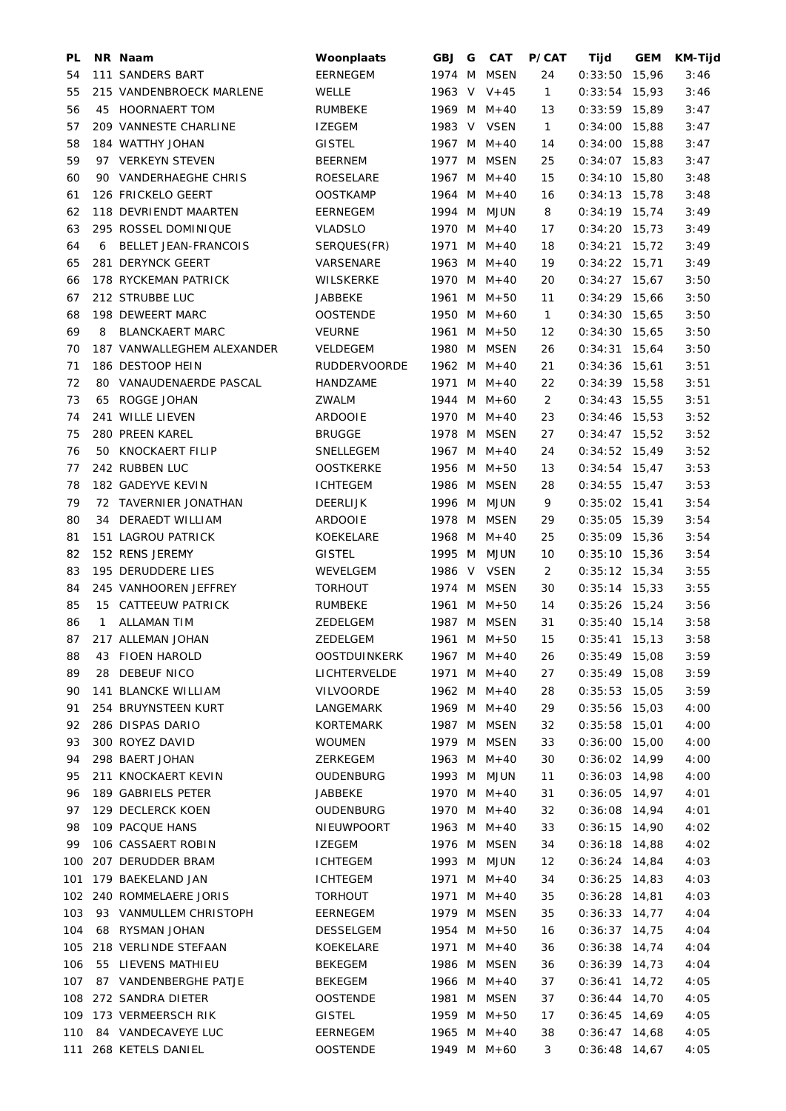| PL  |              | NR Naam                     | Woonplaats          | <b>GBJ</b> | G | <b>CAT</b>    | <b>P/CAT</b> | Tijd            | <b>GEM</b> | <b>KM-Tijd</b> |
|-----|--------------|-----------------------------|---------------------|------------|---|---------------|--------------|-----------------|------------|----------------|
| 54  |              | 111 SANDERS BART            | EERNEGEM            | 1974       | M | <b>MSEN</b>   | 24           | 0:33:50         | 15,96      | 3:46           |
| 55  |              | 215 VANDENBROECK MARLENE    | <b>WELLE</b>        |            |   | 1963 V V+45   | $\mathbf{1}$ | $0:33:54$ 15,93 |            | 3:46           |
| 56  |              | 45 HOORNAERT TOM            | <b>RUMBEKE</b>      |            |   | 1969 M M+40   | 13           | $0:33:59$ 15,89 |            | 3:47           |
| 57  |              | 209 VANNESTE CHARLINE       | <b>IZEGEM</b>       |            |   | 1983 V VSEN   | $\mathbf{1}$ | $0:34:00$ 15,88 |            | 3:47           |
| 58  |              | 184 WATTHY JOHAN            | <b>GISTEL</b>       |            |   | 1967 M M+40   | 14           | $0:34:00$ 15,88 |            | 3:47           |
| 59  |              | 97 VERKEYN STEVEN           | <b>BEERNEM</b>      | 1977 M     |   | MSEN          | 25           | $0:34:07$ 15,83 |            | 3:47           |
| 60  |              | 90 VANDERHAEGHE CHRIS       | ROESELARE           |            |   | 1967 M M+40   | 15           | $0:34:10$ 15,80 |            | 3:48           |
| 61  |              | 126 FRICKELO GEERT          | <b>OOSTKAMP</b>     |            |   | 1964 M M+40   | 16           | $0:34:13$ 15,78 |            | 3:48           |
| 62  |              | 118 DEVRIENDT MAARTEN       | EERNEGEM            |            |   | 1994 M MJUN   | 8            | 0:34:19         | 15,74      | 3:49           |
| 63  |              | 295 ROSSEL DOMINIQUE        | <b>VLADSLO</b>      | 1970 M     |   | $M + 40$      | 17           | 0:34:20         | 15,73      | 3:49           |
| 64  | 6            | <b>BELLET JEAN-FRANCOIS</b> | SERQUES(FR)         |            |   | 1971 M $M+40$ | 18           | $0:34:21$ 15,72 |            | 3:49           |
|     |              | 281 DERYNCK GEERT           |                     |            |   | 1963 M M+40   | 19           |                 |            |                |
| 65  |              |                             | VARSENARE           |            |   |               |              | $0:34:22$ 15,71 |            | 3:49           |
| 66  |              | 178 RYCKEMAN PATRICK        | WILSKERKE           |            |   | 1970 M M+40   | 20           | $0:34:27$ 15,67 |            | 3:50           |
| 67  |              | 212 STRUBBE LUC             | JABBEKE             |            |   | 1961 M M+50   | 11           | $0:34:29$ 15,66 |            | 3:50           |
| 68  |              | 198 DEWEERT MARC            | <b>OOSTENDE</b>     |            |   | 1950 M M+60   | $\mathbf{1}$ | $0:34:30$ 15,65 |            | 3:50           |
| 69  | 8            | <b>BLANCKAERT MARC</b>      | <b>VEURNE</b>       | 1961       |   | $M$ $M+50$    | 12           | $0:34:30$ 15,65 |            | 3:50           |
| 70  |              | 187 VANWALLEGHEM ALEXANDER  | <b>VELDEGEM</b>     |            |   | 1980 M MSEN   | 26           | $0:34:31$ 15,64 |            | 3:50           |
| 71  |              | 186 DESTOOP HEIN            | <b>RUDDERVOORDE</b> |            |   | 1962 M M+40   | 21           | $0:34:36$ 15,61 |            | 3:51           |
| 72  |              | 80 VANAUDENAERDE PASCAL     | HANDZAME            |            |   | 1971 M M+40   | 22           | $0:34:39$ 15,58 |            | 3:51           |
| 73  | 65           | ROGGE JOHAN                 | ZWALM               |            |   | 1944 M M+60   | 2            | $0:34:43$ 15,55 |            | 3:51           |
| 74  |              | 241 WILLE LIEVEN            | ARDOOIE             |            |   | 1970 M M+40   | 23           | $0:34:46$ 15,53 |            | 3:52           |
| 75  |              | 280 PREEN KAREL             | <b>BRUGGE</b>       |            |   | 1978 M MSEN   | 27           | $0:34:47$ 15,52 |            | 3:52           |
| 76  |              | 50 KNOCKAERT FILIP          | SNELLEGEM           |            |   | 1967 M M+40   | 24           | $0:34:52$ 15,49 |            | 3:52           |
| 77  |              | 242 RUBBEN LUC              | <b>OOSTKERKE</b>    |            |   | 1956 M M+50   | 13           | $0:34:54$ 15,47 |            | 3:53           |
| 78  |              | 182 GADEYVE KEVIN           | <b>ICHTEGEM</b>     | 1986 M     |   | MSEN          | 28           | $0:34:55$ 15,47 |            | 3:53           |
| 79  |              | 72 TAVERNIER JONATHAN       | <b>DEERLIJK</b>     | 1996 M     |   | <b>MJUN</b>   | 9            | $0:35:02$ 15,41 |            | 3:54           |
| 80  |              | 34 DERAEDT WILLIAM          | <b>ARDOOIE</b>      |            |   | 1978 M MSEN   | 29           | $0:35:05$ 15,39 |            | 3:54           |
| 81  |              | 151 LAGROU PATRICK          | KOEKELARE           |            |   | 1968 M M+40   | 25           | $0:35:09$ 15,36 |            | 3:54           |
| 82  |              | 152 RENS JEREMY             | <b>GISTEL</b>       | 1995 M     |   | <b>MJUN</b>   | 10           | $0:35:10$ 15,36 |            | 3:54           |
| 83  |              | 195 DERUDDERE LIES          | WEVELGEM            |            |   | 1986 V VSEN   | 2            | $0:35:12$ 15,34 |            | 3:55           |
| 84  |              | 245 VANHOOREN JEFFREY       | <b>TORHOUT</b>      | 1974 M     |   | <b>MSEN</b>   | 30           | $0:35:14$ 15,33 |            | 3:55           |
| 85  |              | 15 CATTEEUW PATRICK         | RUMBEKE             |            |   | 1961 M M+50   | 14           | $0:35:26$ 15,24 |            | 3:56           |
| 86  | $\mathbf{1}$ | <b>ALLAMAN TIM</b>          | ZEDELGEM            |            |   | 1987 M MSEN   | 31           | $0:35:40$ 15,14 |            | 3:58           |
| 87  |              | 217 ALLEMAN JOHAN           | ZEDELGEM            |            |   | 1961 M M+50   | 15           | $0:35:41$ 15,13 |            | 3:58           |
| 88  |              | 43 FIOEN HAROLD             | OOSTDUINKERK        |            |   | 1967 M $M+40$ | 26           | $0:35:49$ 15,08 |            | 3:59           |
| 89  |              | 28 DEBEUF NICO              | LICHTERVELDE        |            |   | 1971 M M+40   | 27           | $0:35:49$ 15,08 |            | 3:59           |
| 90  |              | 141 BLANCKE WILLIAM         | VILVOORDE           |            |   | 1962 M $M+40$ | 28           | $0:35:53$ 15,05 |            | 3:59           |
| 91  |              | 254 BRUYNSTEEN KURT         | LANGEMARK           |            |   | 1969 M M+40   | 29           | $0:35:56$ 15,03 |            | 4:00           |
| 92  |              | 286 DISPAS DARIO            | KORTEMARK           |            |   | 1987 M MSEN   | 32           | $0:35:58$ 15,01 |            | 4:00           |
| 93  |              | 300 ROYEZ DAVID             | WOUMEN              |            |   | 1979 M MSEN   | 33           | $0:36:00$ 15,00 |            | 4:00           |
| 94  |              | 298 BAERT JOHAN             | ZERKEGEM            |            |   | 1963 M M+40   | 30           | $0:36:02$ 14,99 |            | 4:00           |
|     |              |                             | <b>OUDENBURG</b>    |            |   | 1993 M MJUN   |              | $0:36:03$ 14,98 |            |                |
| 95  |              | 211 KNOCKAERT KEVIN         |                     |            |   |               | 11           |                 |            | 4:00           |
| 96  |              | 189 GABRIELS PETER          | JABBEKE             |            |   | 1970 M M+40   | 31           | $0:36:05$ 14,97 |            | 4:01           |
| 97  |              | 129 DECLERCK KOEN           | OUDENBURG           |            |   | 1970 M M+40   | 32           | $0:36:08$ 14,94 |            | 4:01           |
| 98  |              | 109 PACQUE HANS             | NIEUWPOORT          |            |   | 1963 M M+40   | 33           | $0:36:15$ 14,90 |            | 4:02           |
| 99  |              | 106 CASSAERT ROBIN          | IZEGEM              |            |   | 1976 M MSEN   | 34           | $0:36:18$ 14,88 |            | 4:02           |
|     |              | 100 207 DERUDDER BRAM       | ICHTEGEM            |            |   | 1993 M MJUN   | 12           | $0:36:24$ 14,84 |            | 4:03           |
| 101 |              | 179 BAEKELAND JAN           | ICHTEGEM            |            |   | 1971 M M+40   | 34           | $0:36:25$ 14,83 |            | 4:03           |
|     |              | 102 240 ROMMELAERE JORIS    | <b>TORHOUT</b>      |            |   | 1971 M M+40   | 35           | $0:36:28$ 14,81 |            | 4:03           |
| 103 |              | 93 VANMULLEM CHRISTOPH      | EERNEGEM            |            |   | 1979 M MSEN   | 35           | $0:36:33$ 14,77 |            | 4:04           |
| 104 |              | 68 RYSMAN JOHAN             | DESSELGEM           |            |   | 1954 M M+50   | 16           | $0:36:37$ 14,75 |            | 4:04           |
|     |              | 105 218 VERLINDE STEFAAN    | KOEKELARE           |            |   | 1971 M M+40   | 36           | $0:36:38$ 14,74 |            | 4:04           |
| 106 |              | 55 LIEVENS MATHIEU          | BEKEGEM             |            |   | 1986 M MSEN   | 36           | $0:36:39$ 14,73 |            | 4:04           |
| 107 |              | 87 VANDENBERGHE PATJE       | BEKEGEM             |            |   | 1966 M M+40   | 37           | $0:36:41$ 14,72 |            | 4:05           |
|     |              | 108 272 SANDRA DIETER       | <b>OOSTENDE</b>     |            |   | 1981 M MSEN   | 37           | $0:36:44$ 14,70 |            | 4:05           |
|     |              | 109 173 VERMEERSCH RIK      | <b>GISTEL</b>       |            |   | 1959 M M+50   | 17           | $0:36:45$ 14,69 |            | 4:05           |
|     |              | 110 84 VANDECAVEYE LUC      | EERNEGEM            |            |   | 1965 M M+40   | 38           | $0:36:47$ 14,68 |            | 4:05           |
|     |              | 111 268 KETELS DANIEL       | <b>OOSTENDE</b>     |            |   | 1949 M M+60   | 3            | $0:36:48$ 14,67 |            | 4:05           |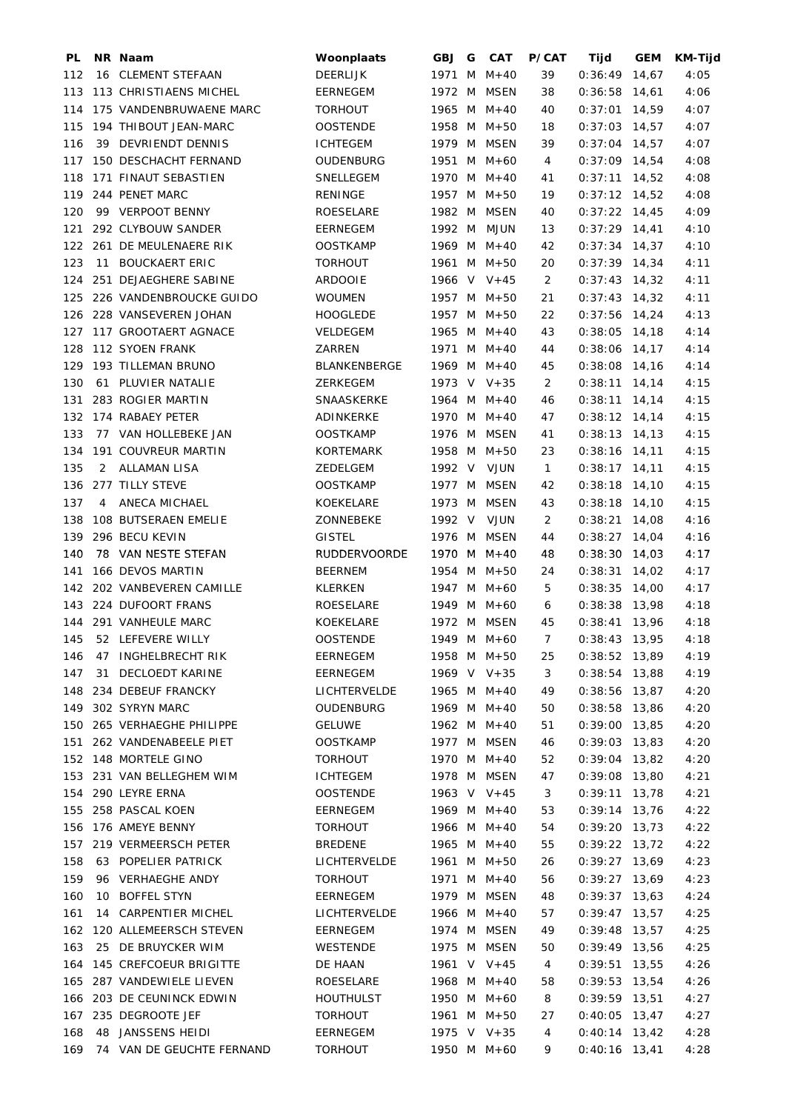| PL  |    | NR Naam                   | Woonplaats          | GBJ G  |   | <b>CAT</b>    | <b>P/CAT</b> | Tijd            | <b>GEM</b> | KM-Tijd |
|-----|----|---------------------------|---------------------|--------|---|---------------|--------------|-----------------|------------|---------|
| 112 |    | 16 CLEMENT STEFAAN        | <b>DEERLIJK</b>     | 1971 M |   | M+40          | 39           | 0:36:49         | 14,67      | 4:05    |
| 113 |    | 113 CHRISTIAENS MICHEL    | <b>EERNEGEM</b>     | 1972   | M | <b>MSEN</b>   | 38           | $0:36:58$ 14,61 |            | 4:06    |
| 114 |    | 175 VANDENBRUWAENE MARC   | <b>TORHOUT</b>      |        |   | 1965 M M+40   | 40           | 0:37:01         | 14,59      | 4:07    |
| 115 |    | 194 THIBOUT JEAN-MARC     | <b>OOSTENDE</b>     |        |   | 1958 M M+50   | 18           | $0:37:03$ 14,57 |            | 4:07    |
| 116 | 39 | <b>DEVRIENDT DENNIS</b>   | <b>ICHTEGEM</b>     | 1979 M |   | MSEN          | 39           | $0:37:04$ 14,57 |            | 4:07    |
| 117 |    | 150 DESCHACHT FERNAND     | OUDENBURG           |        |   | 1951 M M+60   | 4            | $0:37:09$ 14,54 |            | 4:08    |
| 118 |    | 171 FINAUT SEBASTIEN      | SNELLEGEM           |        |   | 1970 M M+40   | 41           | $0:37:11$ 14,52 |            | 4:08    |
| 119 |    | 244 PENET MARC            | RENINGE             | 1957 M |   | $M + 50$      | 19           | $0:37:12$ 14,52 |            | 4:08    |
| 120 |    | 99 VERPOOT BENNY          | ROESELARE           | 1982 M |   | MSEN          | 40           | $0:37:22$ 14,45 |            | 4:09    |
|     |    |                           |                     |        |   |               |              |                 |            |         |
| 121 |    | 292 CLYBOUW SANDER        | <b>EERNEGEM</b>     | 1992 M |   | <b>MJUN</b>   | 13           | $0:37:29$ 14,41 |            | 4:10    |
| 122 |    | 261 DE MEULENAERE RIK     | <b>OOSTKAMP</b>     |        |   | 1969 M M+40   | 42           | $0:37:34$ 14,37 |            | 4:10    |
| 123 | 11 | <b>BOUCKAERT ERIC</b>     | <b>TORHOUT</b>      |        |   | 1961 M M+50   | 20           | $0:37:39$ 14,34 |            | 4:11    |
| 124 |    | 251 DEJAEGHERE SABINE     | <b>ARDOOIE</b>      |        |   | 1966 V V+45   | 2            | $0:37:43$ 14,32 |            | 4:11    |
| 125 |    | 226 VANDENBROUCKE GUIDO   | <b>WOUMEN</b>       |        |   | 1957 M M+50   | 21           | $0:37:43$ 14,32 |            | 4:11    |
| 126 |    | 228 VANSEVEREN JOHAN      | <b>HOOGLEDE</b>     |        |   | 1957 M M+50   | 22           | $0:37:56$ 14,24 |            | 4:13    |
| 127 |    | 117 GROOTAERT AGNACE      | <b>VELDEGEM</b>     |        |   | 1965 M M+40   | 43           | $0:38:05$ 14,18 |            | 4:14    |
| 128 |    | 112 SYOEN FRANK           | <b>ZARREN</b>       |        |   | 1971 M M+40   | 44           | $0:38:06$ 14,17 |            | 4:14    |
| 129 |    | 193 TILLEMAN BRUNO        | BLANKENBERGE        |        |   | 1969 M M+40   | 45           | $0:38:08$ 14,16 |            | 4:14    |
| 130 |    | 61 PLUVIER NATALIE        | ZERKEGEM            |        |   | 1973 V V+35   | 2            | $0:38:11$ 14,14 |            | 4:15    |
| 131 |    | 283 ROGIER MARTIN         | SNAASKERKE          |        |   | 1964 M $M+40$ | 46           | $0:38:11$ 14,14 |            | 4:15    |
| 132 |    | 174 RABAEY PETER          | ADINKERKE           |        |   | 1970 M M+40   | 47           | $0:38:12$ 14,14 |            | 4:15    |
| 133 |    | 77 VAN HOLLEBEKE JAN      | <b>OOSTKAMP</b>     |        |   | 1976 M MSEN   | 41           | $0:38:13$ 14,13 |            | 4:15    |
| 134 |    | 191 COUVREUR MARTIN       | <b>KORTEMARK</b>    |        |   | 1958 M M+50   | 23           | $0:38:16$ 14,11 |            | 4:15    |
| 135 | 2  | <b>ALLAMAN LISA</b>       | ZEDELGEM            | 1992 V |   | VJUN          | 1            | $0:38:17$ 14,11 |            | 4:15    |
| 136 |    | 277 TILLY STEVE           | <b>OOSTKAMP</b>     |        |   | 1977 M MSEN   | 42           | $0:38:18$ 14,10 |            | 4:15    |
| 137 | 4  | ANECA MICHAEL             | KOEKELARE           | 1973 M |   | MSEN          | 43           | $0:38:18$ 14,10 |            | 4:15    |
| 138 |    | 108 BUTSERAEN EMELIE      | ZONNEBEKE           | 1992 V |   | VJUN          | 2            | $0:38:21$ 14,08 |            | 4:16    |
| 139 |    | 296 BECU KEVIN            | <b>GISTEL</b>       |        |   | 1976 M MSEN   | 44           | $0:38:27$ 14,04 |            | 4:16    |
|     |    |                           |                     |        |   |               |              |                 |            |         |
| 140 |    | 78 VAN NESTE STEFAN       | <b>RUDDERVOORDE</b> |        |   | 1970 M M+40   | 48           | $0:38:30$ 14,03 |            | 4:17    |
| 141 |    | 166 DEVOS MARTIN          | <b>BEERNEM</b>      |        |   | 1954 M M+50   | 24           | 0:38:31         | 14,02      | 4:17    |
| 142 |    | 202 VANBEVEREN CAMILLE    | KLERKEN             |        |   | 1947 M M+60   | 5            | $0:38:35$ 14,00 |            | 4:17    |
| 143 |    | 224 DUFOORT FRANS         | ROESELARE           |        |   | 1949 M M+60   | 6            | $0:38:38$ 13,98 |            | 4:18    |
| 144 |    | 291 VANHEULE MARC         | KOEKELARE           | 1972 M |   | MSEN          | 45           | 0:38:41         | 13,96      | 4:18    |
| 145 |    | 52 LEFEVERE WILLY         | OOSTENDE            |        |   | 1949 M M+60   | 7            | $0:38:43$ 13,95 |            | 4:18    |
| 146 |    | 47 INGHELBRECHT RIK       | EERNEGEM            |        |   | 1958 M M+50   | 25           | $0:38:52$ 13,89 |            | 4:19    |
| 147 | 31 | DECLOEDT KARINE           | EERNEGEM            |        |   | 1969 V V+35   | 3            | $0:38:54$ 13,88 |            | 4:19    |
| 148 |    | 234 DEBEUF FRANCKY        | LICHTERVELDE        |        |   | 1965 M $M+40$ | 49           | $0:38:56$ 13,87 |            | 4:20    |
| 149 |    | 302 SYRYN MARC            | OUDENBURG           |        |   | 1969 M M+40   | 50           | $0:38:58$ 13,86 |            | 4:20    |
| 150 |    | 265 VERHAEGHE PHILIPPE    | <b>GELUWE</b>       |        |   | 1962 M M+40   | 51           | $0:39:00$ 13,85 |            | 4:20    |
| 151 |    | 262 VANDENABEELE PIET     | <b>OOSTKAMP</b>     |        |   | 1977 M MSEN   | 46           | $0:39:03$ 13,83 |            | 4:20    |
|     |    | 152 148 MORTELE GINO      | TORHOUT             |        |   | 1970 M M+40   | 52           | $0:39:04$ 13,82 |            | 4:20    |
| 153 |    | 231 VAN BELLEGHEM WIM     | <b>ICHTEGEM</b>     |        |   | 1978 M MSEN   | 47           | $0:39:08$ 13,80 |            | 4:21    |
| 154 |    | 290 LEYRE ERNA            | <b>OOSTENDE</b>     |        |   | 1963 V $V+45$ | 3            | 0:39:11         | 13,78      | 4:21    |
| 155 |    | 258 PASCAL KOEN           | EERNEGEM            |        |   | 1969 M M+40   | 53           | $0:39:14$ 13,76 |            | 4:22    |
| 156 |    | 176 AMEYE BENNY           | <b>TORHOUT</b>      |        |   | 1966 M M+40   | 54           | $0:39:20$ 13,73 |            | 4:22    |
| 157 |    | 219 VERMEERSCH PETER      | <b>BREDENE</b>      |        |   | 1965 M M+40   | 55           | $0:39:22$ 13,72 |            | 4:22    |
| 158 |    | 63 POPELIER PATRICK       | LICHTERVELDE        |        |   | 1961 M M+50   | 26           | $0:39:27$ 13,69 |            | 4:23    |
| 159 |    | 96 VERHAEGHE ANDY         | <b>TORHOUT</b>      |        |   | 1971 M M+40   | 56           | $0:39:27$ 13,69 |            | 4:23    |
| 160 |    | 10 BOFFEL STYN            | EERNEGEM            |        |   | 1979 M MSEN   | 48           | $0:39:37$ 13,63 |            | 4:24    |
|     |    |                           |                     |        |   |               |              |                 |            |         |
| 161 |    | 14 CARPENTIER MICHEL      | LICHTERVELDE        |        |   | 1966 M M+40   | 57           | $0:39:47$ 13,57 |            | 4:25    |
| 162 |    | 120 ALLEMEERSCH STEVEN    | EERNEGEM            | 1974 M |   | <b>MSEN</b>   | 49           | $0:39:48$ 13,57 |            | 4:25    |
| 163 |    | 25 DE BRUYCKER WIM        | WESTENDE            | 1975 M |   | <b>MSEN</b>   | 50           | $0:39:49$ 13,56 |            | 4:25    |
| 164 |    | 145 CREFCOEUR BRIGITTE    | DE HAAN             |        |   | 1961 V V+45   | 4            | $0:39:51$ 13,55 |            | 4:26    |
| 165 |    | 287 VANDEWIELE LIEVEN     | ROESELARE           |        |   | 1968 M M+40   | 58           | $0:39:53$ 13,54 |            | 4:26    |
| 166 |    | 203 DE CEUNINCK EDWIN     | <b>HOUTHULST</b>    |        |   | 1950 M M+60   | 8            | $0:39:59$ 13,51 |            | 4:27    |
| 167 |    | 235 DEGROOTE JEF          | <b>TORHOUT</b>      |        |   | 1961 M M+50   | 27           | $0:40:05$ 13,47 |            | 4:27    |
| 168 |    | 48 JANSSENS HEIDI         | EERNEGEM            |        |   | 1975 V V+35   | 4            | $0:40:14$ 13,42 |            | 4:28    |
| 169 |    | 74 VAN DE GEUCHTE FERNAND | <b>TORHOUT</b>      |        |   | 1950 M M+60   | 9            | $0:40:16$ 13,41 |            | 4:28    |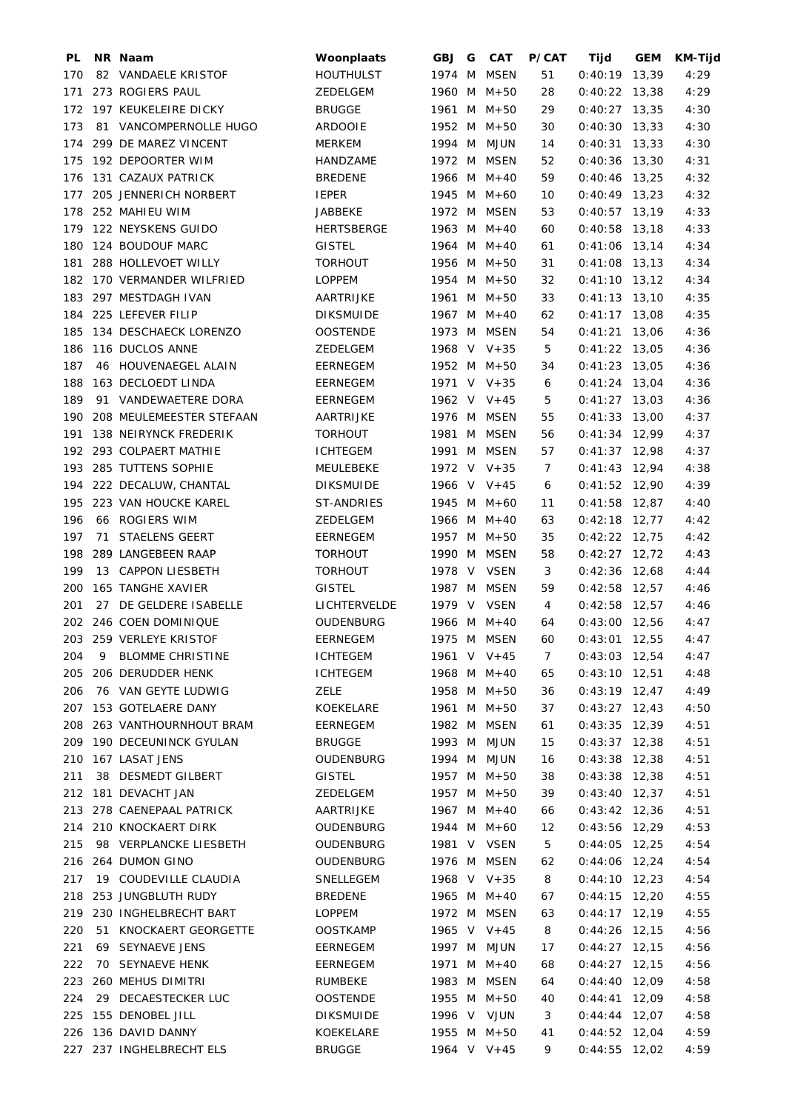| PL  |    | NR Naam                    | Woonplaats                 | <b>GBJ</b> | G | <b>CAT</b>                 | <b>P/CAT</b>   | Tijd                               | <b>GEM</b> | <b>KM-Tijd</b> |
|-----|----|----------------------------|----------------------------|------------|---|----------------------------|----------------|------------------------------------|------------|----------------|
| 170 |    | 82 VANDAELE KRISTOF        | <b>HOUTHULST</b>           | 1974 M     |   | <b>MSEN</b>                | 51             | 0:40:19                            | 13,39      | 4:29           |
| 171 |    | 273 ROGIERS PAUL           | <b>ZEDELGEM</b>            |            |   | 1960 M M+50                | 28             | $0:40:22$ 13,38                    |            | 4:29           |
| 172 |    | 197 KEUKELEIRE DICKY       | <b>BRUGGE</b>              |            |   | 1961 M M+50                | 29             | $0:40:27$ 13,35                    |            | 4:30           |
| 173 |    | 81 VANCOMPERNOLLE HUGO     | <b>ARDOOIE</b>             |            |   | 1952 M M+50                | 30             | $0:40:30$ 13,33                    |            | 4:30           |
| 174 |    | 299 DE MAREZ VINCENT       | <b>MERKEM</b>              |            |   | 1994 M MJUN                | 14             | $0:40:31$ 13,33                    |            | 4:30           |
| 175 |    | 192 DEPOORTER WIM          | HANDZAME                   |            |   | 1972 M MSEN                | 52             | $0:40:36$ 13,30                    |            | 4:31           |
| 176 |    | 131 CAZAUX PATRICK         | <b>BREDENE</b>             |            |   | 1966 M M+40                | 59             | $0:40:46$ 13,25                    |            | 4:32           |
| 177 |    | 205 JENNERICH NORBERT      | <b>IEPER</b>               |            |   | 1945 M M+60                | 10             | $0:40:49$ 13,23                    |            | 4:32           |
| 178 |    | 252 MAHIEU WIM             | <b>JABBEKE</b>             |            |   | 1972 M MSEN                | 53             | $0:40:57$ 13,19                    |            | 4:33           |
| 179 |    | 122 NEYSKENS GUIDO         | <b>HERTSBERGE</b>          |            |   | 1963 M M+40                | 60             | $0:40:58$ 13,18                    |            | 4:33           |
| 180 |    | 124 BOUDOUF MARC           | <b>GISTEL</b>              |            |   | 1964 M $M+40$              | 61             | $0:41:06$ 13,14                    |            | 4:34           |
| 181 |    | 288 HOLLEVOET WILLY        | TORHOUT                    |            |   | 1956 M M+50                | 31             | $0:41:08$ 13,13                    |            | 4:34           |
|     |    | 182 170 VERMANDER WILFRIED | <b>LOPPEM</b>              |            |   | 1954 M M+50                | 32             | $0:41:10$ 13,12                    |            | 4:34           |
| 183 |    | 297 MESTDAGH IVAN          | AARTRIJKE                  |            |   | 1961 M M+50                | 33             | $0:41:13$ 13,10                    |            | 4:35           |
| 184 |    | 225 LEFEVER FILIP          | <b>DIKSMUIDE</b>           |            |   | 1967 M M+40                | 62             | $0:41:17$ 13,08                    |            | 4:35           |
| 185 |    | 134 DESCHAECK LORENZO      | <b>OOSTENDE</b>            |            |   | 1973 M MSEN                | 54             | $0:41:21$ 13,06                    |            | 4:36           |
| 186 |    | 116 DUCLOS ANNE            | ZEDELGEM                   |            |   | 1968 V V+35                | 5              | $0:41:22$ 13,05                    |            | 4:36           |
| 187 |    | 46 HOUVENAEGEL ALAIN       | EERNEGEM                   |            |   | 1952 M M+50                | 34             | $0:41:23$ 13,05                    |            | 4:36           |
| 188 |    | 163 DECLOEDT LINDA         | EERNEGEM                   |            |   | 1971 V V+35                | 6              | $0:41:24$ 13,04                    |            | 4:36           |
| 189 |    | 91 VANDEWAETERE DORA       | EERNEGEM                   |            |   | 1962 V V+45                | 5              | $0:41:27$ 13,03                    |            | 4:36           |
| 190 |    | 208 MEULEMEESTER STEFAAN   | AARTRIJKE                  |            |   | 1976 M MSEN                | 55             | $0:41:33$ 13,00                    |            | 4:37           |
| 191 |    | 138 NEIRYNCK FREDERIK      | <b>TORHOUT</b>             |            |   | 1981 M MSEN                | 56             | $0:41:34$ 12,99                    |            | 4:37           |
| 192 |    | 293 COLPAERT MATHIE        | <b>ICHTEGEM</b>            |            |   | 1991 M MSEN                | 57             | $0:41:37$ 12,98                    |            | 4:37           |
| 193 |    | 285 TUTTENS SOPHIE         | MEULEBEKE                  |            |   | 1972 V V+35                | $\overline{7}$ | $0:41:43$ 12,94                    |            | 4:38           |
| 194 |    | 222 DECALUW, CHANTAL       | <b>DIKSMUIDE</b>           |            |   | 1966 V V+45                | 6              | $0:41:52$ 12,90                    |            | 4:39           |
| 195 |    | 223 VAN HOUCKE KAREL       | ST-ANDRIES                 |            |   | 1945 M M+60                | 11             | $0:41:58$ 12,87                    |            | 4:40           |
| 196 |    | 66 ROGIERS WIM             | ZEDELGEM                   |            |   | 1966 M M+40                | 63             | $0:42:18$ 12,77                    |            | 4:42           |
| 197 |    | 71 STAELENS GEERT          |                            |            |   |                            | 35             |                                    |            |                |
| 198 |    | 289 LANGEBEEN RAAP         | EERNEGEM<br><b>TORHOUT</b> |            |   | 1957 M M+50<br>1990 M MSEN | 58             | $0:42:22$ 12,75<br>$0:42:27$ 12,72 |            | 4:42           |
|     |    |                            |                            |            |   |                            |                |                                    |            | 4:43           |
| 199 |    | 13 CAPPON LIESBETH         | <b>TORHOUT</b>             |            |   | 1978 V VSEN                | 3              | $0:42:36$ 12,68                    |            | 4:44           |
| 200 |    | 165 TANGHE XAVIER          | <b>GISTEL</b>              |            |   | 1987 M MSEN                | 59             | $0:42:58$ 12,57                    |            | 4:46           |
| 201 | 27 | DE GELDERE ISABELLE        | LICHTERVELDE               |            |   | 1979 V VSEN                | 4              | $0:42:58$ 12,57                    |            | 4:46           |
| 202 |    | 246 COEN DOMINIQUE         | OUDENBURG                  |            |   | 1966 M M+40                | 64             | $0:43:00$ 12,56                    |            | 4:47           |
| 203 |    | 259 VERLEYE KRISTOF        | EERNEGEM                   |            |   | 1975 M MSEN                | 60             | $0:43:01$ 12.55                    |            | 4:47           |
| 204 | 9. | <b>BLOMME CHRISTINE</b>    | <b>ICHTEGEM</b>            |            |   | 1961 V $V+45$              | 7              | $0:43:03$ 12,54                    |            | 4:47           |
| 205 |    | 206 DERUDDER HENK          | <b>ICHTEGEM</b>            |            |   | 1968 M M+40                | 65             | $0:43:10$ 12,51                    |            | 4:48           |
| 206 |    | 76 VAN GEYTE LUDWIG        | ZELE                       |            |   | 1958 M M+50                | 36             | $0:43:19$ 12,47                    |            | 4:49           |
|     |    | 207 153 GOTELAERE DANY     | KOEKELARE                  |            |   | 1961 M M+50                | 37             | $0:43:27$ 12,43                    |            | 4:50           |
| 208 |    | 263 VANTHOURNHOUT BRAM     | EERNEGEM                   |            |   | 1982 M MSEN                | 61             | $0:43:35$ 12,39                    |            | 4:51           |
|     |    | 209 190 DECEUNINCK GYULAN  | <b>BRUGGE</b>              |            |   | 1993 M MJUN                | 15             | $0:43:37$ 12,38                    |            | 4:51           |
| 210 |    | 167 LASAT JENS             | OUDENBURG                  |            |   | 1994 M MJUN                | 16             | $0:43:38$ 12,38                    |            | 4:51           |
| 211 |    | 38 DESMEDT GILBERT         | <b>GISTEL</b>              |            |   | 1957 M M+50                | 38             | $0:43:38$ 12,38                    |            | 4:51           |
|     |    | 212 181 DEVACHT JAN        | ZEDELGEM                   |            |   | 1957 M M+50                | 39             | $0:43:40$ 12,37                    |            | 4:51           |
|     |    | 213 278 CAENEPAAL PATRICK  | AARTRIJKE                  |            |   | 1967 M M+40                | 66             | $0:43:42$ 12,36                    |            | 4:51           |
|     |    | 214 210 KNOCKAERT DIRK     | OUDENBURG                  |            |   | 1944 M M+60                | 12             | $0:43:56$ 12,29                    |            | 4:53           |
| 215 |    | 98 VERPLANCKE LIESBETH     | OUDENBURG                  |            |   | 1981 V VSEN                | 5              | $0:44:05$ 12,25                    |            | 4:54           |
| 216 |    | 264 DUMON GINO             | OUDENBURG                  |            |   | 1976 M MSEN                | 62             | $0:44:06$ 12,24                    |            | 4:54           |
| 217 |    | 19 COUDEVILLE CLAUDIA      | SNELLEGEM                  |            |   | 1968 V V+35                | 8              | $0:44:10$ 12,23                    |            | 4:54           |
| 218 |    | 253 JUNGBLUTH RUDY         | <b>BREDENE</b>             |            |   | 1965 M M+40                | 67             | $0:44:15$ 12,20                    |            | 4:55           |
| 219 |    | 230 INGHELBRECHT BART      | LOPPEM                     |            |   | 1972 M MSEN                | 63             | $0:44:17$ 12,19                    |            | 4:55           |
| 220 |    | 51 KNOCKAERT GEORGETTE     | <b>OOSTKAMP</b>            |            |   | 1965 V V+45                | 8              | $0:44:26$ 12,15                    |            | 4:56           |
| 221 |    | 69 SEYNAEVE JENS           | EERNEGEM                   |            |   | 1997 M MJUN                | 17             | $0:44:27$ 12,15                    |            | 4:56           |
| 222 |    | 70 SEYNAEVE HENK           | EERNEGEM                   |            |   | 1971 M M+40                | 68             | $0:44:27$ 12,15                    |            | 4:56           |
| 223 |    | 260 MEHUS DIMITRI          | <b>RUMBEKE</b>             |            |   | 1983 M MSEN                | 64             | $0:44:40$ 12,09                    |            | 4:58           |
| 224 |    | 29 DECAESTECKER LUC        | <b>OOSTENDE</b>            |            |   | 1955 M M+50                | 40             | $0:44:41$ 12,09                    |            | 4:58           |
|     |    | 225 155 DENOBEL JILL       | <b>DIKSMUIDE</b>           |            |   | 1996 V VJUN                | 3              | $0:44:44$ 12,07                    |            | 4:58           |
|     |    | 226 136 DAVID DANNY        | KOEKELARE                  |            |   | 1955 M M+50                | 41             | $0:44:52$ 12,04                    |            | 4:59           |
|     |    | 227 237 INGHELBRECHT ELS   | <b>BRUGGE</b>              |            |   | 1964 V V+45                | 9              | $0:44:55$ 12,02                    |            | 4:59           |
|     |    |                            |                            |            |   |                            |                |                                    |            |                |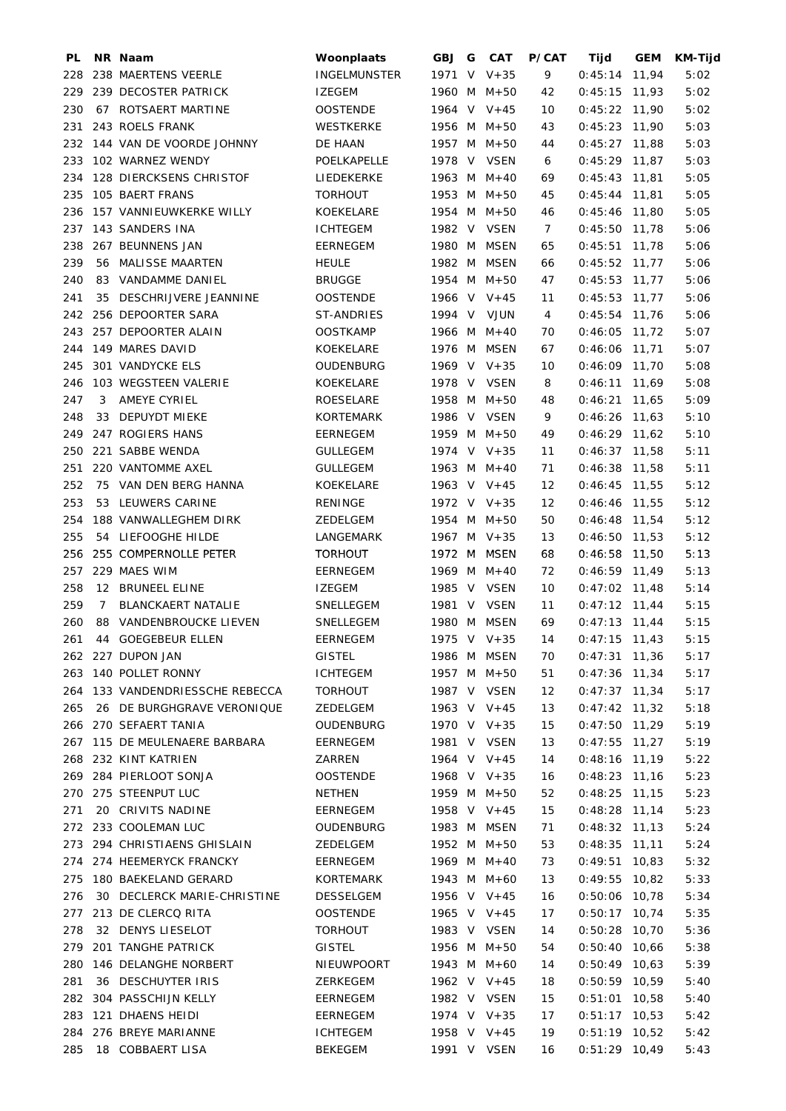| PL  |    | NR Naam                         | Woonplaats          | GBJ G | <b>CAT</b>    | <b>P/CAT</b>      | Tijd            | <b>GEM</b> | KM-Tijd |
|-----|----|---------------------------------|---------------------|-------|---------------|-------------------|-----------------|------------|---------|
| 228 |    | 238 MAERTENS VEERLE             | <b>INGELMUNSTER</b> |       | 1971 V V+35   | 9                 | $0:45:14$ 11,94 |            | 5:02    |
| 229 |    | 239 DECOSTER PATRICK            | <b>IZEGEM</b>       |       | 1960 M M+50   | 42                | $0:45:15$ 11,93 |            | 5:02    |
| 230 |    | 67 ROTSAERT MARTINE             | <b>OOSTENDE</b>     |       | 1964 V V+45   | 10                | $0:45:22$ 11,90 |            | 5:02    |
| 231 |    | 243 ROELS FRANK                 | WESTKERKE           |       | 1956 M M+50   | 43                | $0:45:23$ 11,90 |            | 5:03    |
| 232 |    | 144 VAN DE VOORDE JOHNNY        | DE HAAN             |       | 1957 M M+50   | 44                | $0:45:27$ 11,88 |            | 5:03    |
| 233 |    | 102 WARNEZ WENDY                | POELKAPELLE         |       | 1978 V VSEN   | 6                 | $0:45:29$ 11,87 |            | 5:03    |
| 234 |    | 128 DIERCKSENS CHRISTOF         | LIEDEKERKE          |       | 1963 M M+40   | 69                | $0:45:43$ 11,81 |            | 5:05    |
| 235 |    | 105 BAERT FRANS                 | <b>TORHOUT</b>      |       | 1953 M M+50   | 45                | $0:45:44$ 11,81 |            | 5:05    |
| 236 |    | 157 VANNIEUWKERKE WILLY         | KOEKELARE           |       | 1954 M M+50   | 46                | $0:45:46$ 11,80 |            | 5:05    |
| 237 |    | 143 SANDERS INA                 | <b>ICHTEGEM</b>     |       | 1982 V VSEN   | 7                 | $0:45:50$ 11,78 |            | 5:06    |
| 238 |    | 267 BEUNNENS JAN                | EERNEGEM            |       | 1980 M MSEN   | 65                | $0:45:51$ 11,78 |            | 5:06    |
| 239 |    | 56 MALISSE MAARTEN              | <b>HEULE</b>        |       | 1982 M MSEN   | 66                | $0:45:52$ 11,77 |            | 5:06    |
| 240 |    | 83 VANDAMME DANIEL              | <b>BRUGGE</b>       |       | 1954 M M+50   | 47                | $0:45:53$ 11,77 |            | 5:06    |
| 241 | 35 | DESCHRIJVERE JEANNINE           | <b>OOSTENDE</b>     |       | 1966 V $V+45$ | 11                | $0:45:53$ 11,77 |            | 5:06    |
| 242 |    | 256 DEPOORTER SARA              | ST-ANDRIES          |       | 1994 V VJUN   | 4                 | $0:45:54$ 11,76 |            | 5:06    |
| 243 |    | 257 DEPOORTER ALAIN             | <b>OOSTKAMP</b>     |       | 1966 M $M+40$ | 70                | $0:46:05$ 11,72 |            | 5:07    |
| 244 |    | 149 MARES DAVID                 | KOEKELARE           |       | 1976 M MSEN   | 67                | $0:46:06$ 11,71 |            | 5:07    |
| 245 |    | 301 VANDYCKE ELS                | OUDENBURG           |       | 1969 V V+35   | 10                | $0:46:09$ 11,70 |            | 5:08    |
| 246 |    | 103 WEGSTEEN VALERIE            | KOEKELARE           |       | 1978 V VSEN   | 8                 | $0:46:11$ 11,69 |            | 5:08    |
| 247 | 3  | AMEYE CYRIEL                    | ROESELARE           |       | 1958 M M+50   | 48                | $0:46:21$ 11,65 |            | 5:09    |
| 248 | 33 | DEPUYDT MIEKE                   | <b>KORTEMARK</b>    |       | 1986 V VSEN   | 9                 | $0:46:26$ 11,63 |            | 5:10    |
| 249 |    | 247 ROGIERS HANS                | <b>EERNEGEM</b>     |       | 1959 M M+50   | 49                | $0:46:29$ 11,62 |            | 5:10    |
| 250 |    | 221 SABBE WENDA                 | <b>GULLEGEM</b>     |       | 1974 V V+35   | 11                | $0:46:37$ 11,58 |            | 5:11    |
| 251 |    | 220 VANTOMME AXEL               | <b>GULLEGEM</b>     |       | 1963 M M+40   | 71                | $0:46:38$ 11,58 |            | 5:11    |
| 252 |    | 75 VAN DEN BERG HANNA           | KOEKELARE           |       | 1963 V $V+45$ | 12                | $0:46:45$ 11,55 |            | 5:12    |
| 253 |    | 53 LEUWERS CARINE               | <b>RENINGE</b>      |       | 1972 V V+35   | $12 \overline{ }$ | $0:46:46$ 11,55 |            | 5:12    |
| 254 |    | 188 VANWALLEGHEM DIRK           | ZEDELGEM            |       | 1954 M M+50   | 50                | $0:46:48$ 11,54 |            | 5:12    |
| 255 |    | 54 LIEFOOGHE HILDE              | LANGEMARK           |       | 1967 M $V+35$ | 13                | $0:46:50$ 11,53 |            | 5:12    |
| 256 |    | 255 COMPERNOLLE PETER           | <b>TORHOUT</b>      |       | 1972 M MSEN   | 68                | $0:46:58$ 11,50 |            | 5:13    |
| 257 |    | 229 MAES WIM                    | <b>EERNEGEM</b>     |       | 1969 M M+40   | 72                | $0:46:59$ 11,49 |            | 5:13    |
| 258 |    | 12 BRUNEEL ELINE                | <b>IZEGEM</b>       |       | 1985 V VSEN   | 10                | $0:47:02$ 11,48 |            | 5:14    |
| 259 | 7  | <b>BLANCKAERT NATALIE</b>       | SNELLEGEM           |       | 1981 V VSEN   | 11                | $0:47:12$ 11,44 |            | 5:15    |
| 260 |    | 88 VANDENBROUCKE LIEVEN         | SNELLEGEM           |       | 1980 M MSEN   | 69                | $0:47:13$ 11,44 |            | 5:15    |
| 261 |    | 44 GOEGEBEUR ELLEN              | EERNEGEM            |       | 1975 V V+35   | 14                | $0:47:15$ 11,43 |            | 5:15    |
|     |    | 262 227 DUPON JAN               | <b>GISTEL</b>       |       | 1986 M MSEN   | 70                | $0:47:31$ 11,36 |            | 5:17    |
|     |    | 263 140 POLLET RONNY            | <b>ICHTEGEM</b>     |       | 1957 M M+50   | 51                | $0:47:36$ 11,34 |            | 5:17    |
|     |    | 264 133 VANDENDRIESSCHE REBECCA | <b>TORHOUT</b>      |       | 1987 V VSEN   | 12                | $0:47:37$ 11,34 |            | 5:17    |
| 265 |    | 26 DE BURGHGRAVE VERONIQUE      | ZEDELGEM            |       | 1963 V $V+45$ | 13                | $0:47:42$ 11,32 |            | 5:18    |
|     |    | 266 270 SEFAERT TANIA           | OUDENBURG           |       | 1970 V V+35   | 15                | $0:47:50$ 11,29 |            | 5:19    |
|     |    | 267 115 DE MEULENAERE BARBARA   | EERNEGEM            |       | 1981 V VSEN   | 13                | $0:47:55$ 11,27 |            | 5:19    |
|     |    | 268 232 KINT KATRIEN            | ZARREN              |       | 1964 V V+45   | 14                | $0:48:16$ 11,19 |            | 5:22    |
| 269 |    | 284 PIERLOOT SONJA              | <b>OOSTENDE</b>     |       | 1968 V $V+35$ | 16                | $0:48:23$ 11,16 |            | 5:23    |
|     |    | 270 275 STEENPUT LUC            | <b>NETHEN</b>       |       | 1959 M M+50   | 52                | $0:48:25$ 11,15 |            | 5:23    |
| 271 |    | 20 CRIVITS NADINE               | EERNEGEM            |       | 1958 V V+45   | 15                | $0:48:28$ 11,14 |            | 5:23    |
|     |    | 272 233 COOLEMAN LUC            | OUDENBURG           |       | 1983 M MSEN   | 71                | $0:48:32$ 11,13 |            | 5:24    |
|     |    | 273 294 CHRISTIAENS GHISLAIN    | ZEDELGEM            |       | 1952 M M+50   | 53                | $0:48:35$ 11,11 |            | 5:24    |
|     |    | 274 274 HEEMERYCK FRANCKY       | EERNEGEM            |       | 1969 M $M+40$ | 73                | $0:49:51$ 10,83 |            | 5:32    |
| 275 |    | 180 BAEKELAND GERARD            | KORTEMARK           |       | 1943 M $M+60$ | 13                | $0:49:55$ 10,82 |            | 5:33    |
| 276 |    | 30 DECLERCK MARIE-CHRISTINE     | DESSELGEM           |       | 1956 V V+45   | 16                | $0:50:06$ 10,78 |            | 5:34    |
|     |    | 277 213 DE CLERCQ RITA          | <b>OOSTENDE</b>     |       | 1965 V $V+45$ | 17                | $0:50:17$ 10,74 |            | 5:35    |
| 278 |    | 32 DENYS LIESELOT               | <b>TORHOUT</b>      |       | 1983 V VSEN   | 14                | $0:50:28$ 10,70 |            | 5:36    |
| 279 |    | 201 TANGHE PATRICK              | <b>GISTEL</b>       |       | 1956 M M+50   | 54                | $0:50:40$ 10,66 |            | 5:38    |
|     |    | 280 146 DELANGHE NORBERT        | NIEUWPOORT          |       | 1943 M M+60   | 14                | $0:50:49$ 10,63 |            | 5:39    |
| 281 |    | 36 DESCHUYTER IRIS              | ZERKEGEM            |       | 1962 V V+45   | 18                | $0:50:59$ 10,59 |            | 5:40    |
| 282 |    | 304 PASSCHIJN KELLY             | EERNEGEM            |       | 1982 V VSEN   | 15                | $0:51:01$ 10,58 |            | 5:40    |
|     |    | 283 121 DHAENS HEIDI            | EERNEGEM            |       | 1974 V V+35   | 17                | $0:51:17$ 10,53 |            | 5:42    |
|     |    | 284 276 BREYE MARIANNE          | <b>ICHTEGEM</b>     |       | 1958 V V+45   | 19                | $0:51:19$ 10,52 |            | 5:42    |
| 285 |    | 18 COBBAERT LISA                | <b>BEKEGEM</b>      |       | 1991 V VSEN   | 16                | $0:51:29$ 10,49 |            | 5:43    |
|     |    |                                 |                     |       |               |                   |                 |            |         |